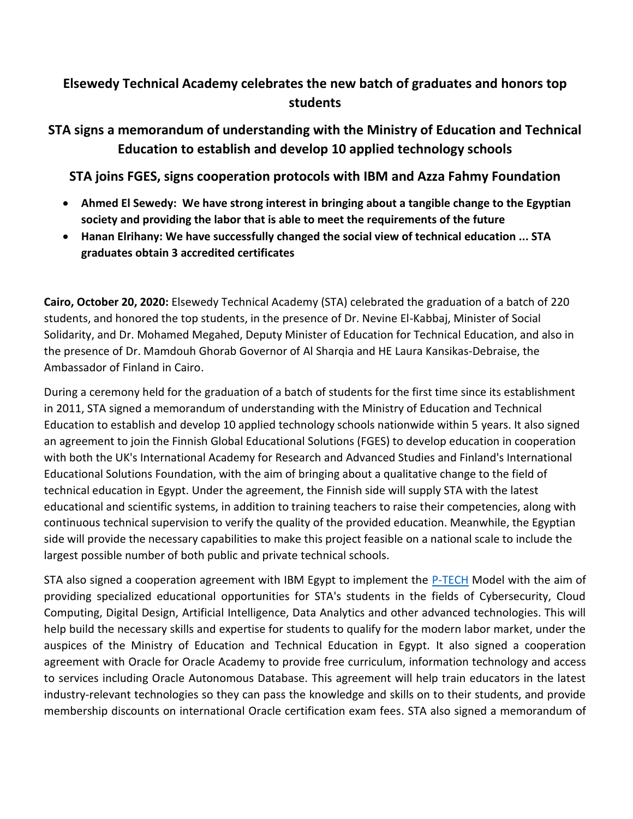## **Elsewedy Technical Academy celebrates the new batch of graduates and honors top students**

## **STA signs a memorandum of understanding with the Ministry of Education and Technical Education to establish and develop 10 applied technology schools**

**STA joins FGES, signs cooperation protocols with IBM and Azza Fahmy Foundation**

- **Ahmed El Sewedy: We have strong interest in bringing about a tangible change to the Egyptian society and providing the labor that is able to meet the requirements of the future**
- **Hanan Elrihany: We have successfully changed the social view of technical education ... STA graduates obtain 3 accredited certificates**

**Cairo, October 20, 2020:** Elsewedy Technical Academy (STA) celebrated the graduation of a batch of 220 students, and honored the top students, in the presence of Dr. Nevine El-Kabbaj, Minister of Social Solidarity, and Dr. Mohamed Megahed, Deputy Minister of Education for Technical Education, and also in the presence of Dr. Mamdouh Ghorab Governor of Al Sharqia and HE Laura Kansikas-Debraise, the Ambassador of Finland in Cairo.

During a ceremony held for the graduation of a batch of students for the first time since its establishment in 2011, STA signed a memorandum of understanding with the Ministry of Education and Technical Education to establish and develop 10 applied technology schools nationwide within 5 years. It also signed an agreement to join the Finnish Global Educational Solutions (FGES) to develop education in cooperation with both the UK's International Academy for Research and Advanced Studies and Finland's International Educational Solutions Foundation, with the aim of bringing about a qualitative change to the field of technical education in Egypt. Under the agreement, the Finnish side will supply STA with the latest educational and scientific systems, in addition to training teachers to raise their competencies, along with continuous technical supervision to verify the quality of the provided education. Meanwhile, the Egyptian side will provide the necessary capabilities to make this project feasible on a national scale to include the largest possible number of both public and private technical schools.

STA also signed a cooperation agreement with IBM Egypt to implement the [P-TECH](https://www.ptech.org/) Model with the aim of providing specialized educational opportunities for STA's students in the fields of Cybersecurity, Cloud Computing, Digital Design, Artificial Intelligence, Data Analytics and other advanced technologies. This will help build the necessary skills and expertise for students to qualify for the modern labor market, under the auspices of the Ministry of Education and Technical Education in Egypt. It also signed a cooperation agreement with Oracle for Oracle Academy to provide free curriculum, information technology and access to services including Oracle Autonomous Database. This agreement will help train educators in the latest industry-relevant technologies so they can pass the knowledge and skills on to their students, and provide membership discounts on international Oracle certification exam fees. STA also signed a memorandum of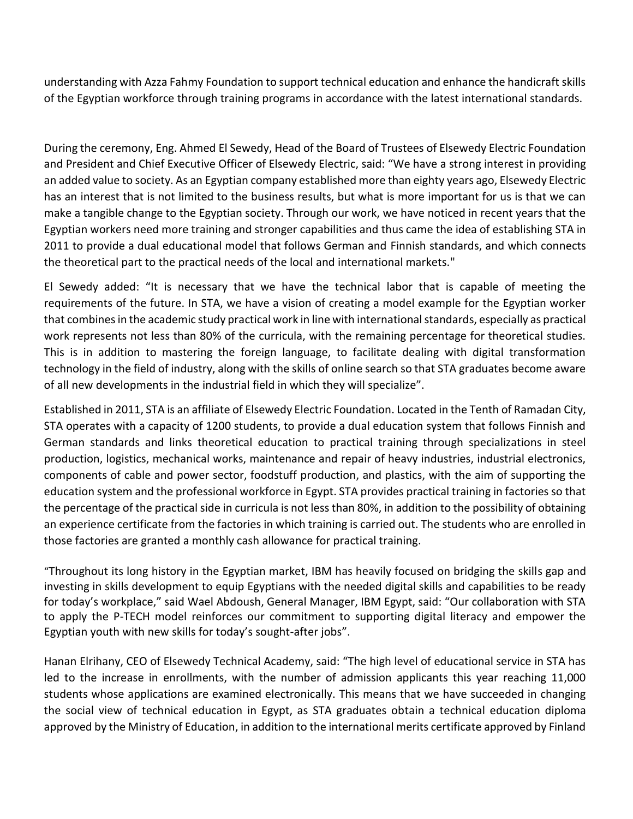understanding with Azza Fahmy Foundation to support technical education and enhance the handicraft skills of the Egyptian workforce through training programs in accordance with the latest international standards.

During the ceremony, Eng. Ahmed El Sewedy, Head of the Board of Trustees of Elsewedy Electric Foundation and President and Chief Executive Officer of Elsewedy Electric, said: "We have a strong interest in providing an added value to society. As an Egyptian company established more than eighty years ago, Elsewedy Electric has an interest that is not limited to the business results, but what is more important for us is that we can make a tangible change to the Egyptian society. Through our work, we have noticed in recent years that the Egyptian workers need more training and stronger capabilities and thus came the idea of establishing STA in 2011 to provide a dual educational model that follows German and Finnish standards, and which connects the theoretical part to the practical needs of the local and international markets."

El Sewedy added: "It is necessary that we have the technical labor that is capable of meeting the requirements of the future. In STA, we have a vision of creating a model example for the Egyptian worker that combines in the academic study practical work in line with international standards, especially as practical work represents not less than 80% of the curricula, with the remaining percentage for theoretical studies. This is in addition to mastering the foreign language, to facilitate dealing with digital transformation technology in the field of industry, along with the skills of online search so that STA graduates become aware of all new developments in the industrial field in which they will specialize".

Established in 2011, STA is an affiliate of Elsewedy Electric Foundation. Located in the Tenth of Ramadan City, STA operates with a capacity of 1200 students, to provide a dual education system that follows Finnish and German standards and links theoretical education to practical training through specializations in steel production, logistics, mechanical works, maintenance and repair of heavy industries, industrial electronics, components of cable and power sector, foodstuff production, and plastics, with the aim of supporting the education system and the professional workforce in Egypt. STA provides practical training in factories so that the percentage of the practical side in curricula is not less than 80%, in addition to the possibility of obtaining an experience certificate from the factories in which training is carried out. The students who are enrolled in those factories are granted a monthly cash allowance for practical training.

"Throughout its long history in the Egyptian market, IBM has heavily focused on bridging the skills gap and investing in skills development to equip Egyptians with the needed digital skills and capabilities to be ready for today's workplace," said Wael Abdoush, General Manager, IBM Egypt, said: "Our collaboration with STA to apply the P-TECH model reinforces our commitment to supporting digital literacy and empower the Egyptian youth with new skills for today's sought-after jobs".

Hanan Elrihany, CEO of Elsewedy Technical Academy, said: "The high level of educational service in STA has led to the increase in enrollments, with the number of admission applicants this year reaching 11,000 students whose applications are examined electronically. This means that we have succeeded in changing the social view of technical education in Egypt, as STA graduates obtain a technical education diploma approved by the Ministry of Education, in addition to the international merits certificate approved by Finland